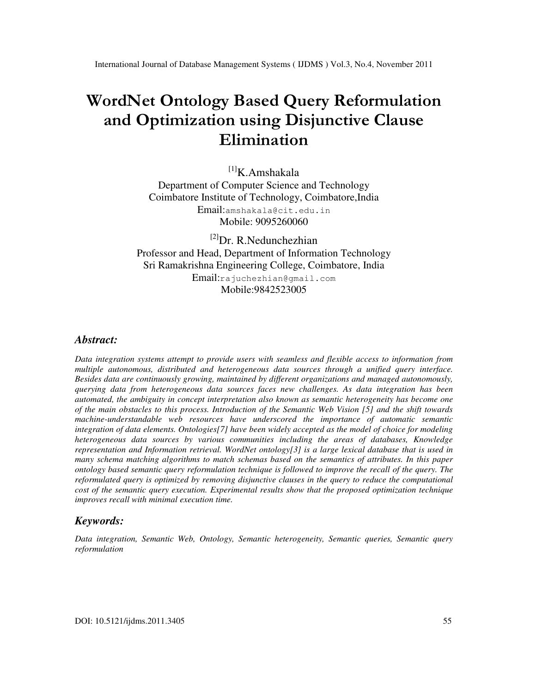# WordNet Ontology Based Query Reformulation and Optimization using Disjunctive Clause Elimination

 $[1]K$ . Amshakala Department of Computer Science and Technology Coimbatore Institute of Technology, Coimbatore,India Email:amshakala@cit.edu.in Mobile: 9095260060

[2]Dr. R.Nedunchezhian Professor and Head, Department of Information Technology Sri Ramakrishna Engineering College, Coimbatore, India Email:rajuchezhian@gmail.com Mobile:9842523005

#### *Abstract:*

*Data integration systems attempt to provide users with seamless and flexible access to information from multiple autonomous, distributed and heterogeneous data sources through a unified query interface. Besides data are continuously growing, maintained by different organizations and managed autonomously, querying data from heterogeneous data sources faces new challenges. As data integration has been automated, the ambiguity in concept interpretation also known as semantic heterogeneity has become one of the main obstacles to this process. Introduction of the Semantic Web Vision [5] and the shift towards machine-understandable web resources have underscored the importance of automatic semantic integration of data elements. Ontologies[7] have been widely accepted as the model of choice for modeling heterogeneous data sources by various communities including the areas of databases, Knowledge representation and Information retrieval. WordNet ontology[3] is a large lexical database that is used in many schema matching algorithms to match schemas based on the semantics of attributes. In this paper ontology based semantic query reformulation technique is followed to improve the recall of the query. The reformulated query is optimized by removing disjunctive clauses in the query to reduce the computational cost of the semantic query execution. Experimental results show that the proposed optimization technique improves recall with minimal execution time.* 

### *Keywords:*

*Data integration, Semantic Web, Ontology, Semantic heterogeneity, Semantic queries, Semantic query reformulation*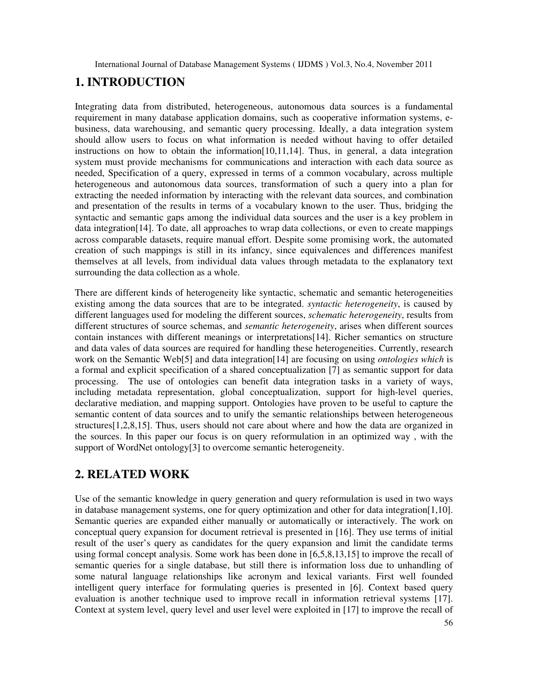# **1. INTRODUCTION**

Integrating data from distributed, heterogeneous, autonomous data sources is a fundamental requirement in many database application domains, such as cooperative information systems, ebusiness, data warehousing, and semantic query processing. Ideally, a data integration system should allow users to focus on what information is needed without having to offer detailed instructions on how to obtain the information[10,11,14]. Thus, in general, a data integration system must provide mechanisms for communications and interaction with each data source as needed, Specification of a query, expressed in terms of a common vocabulary, across multiple heterogeneous and autonomous data sources, transformation of such a query into a plan for extracting the needed information by interacting with the relevant data sources, and combination and presentation of the results in terms of a vocabulary known to the user. Thus, bridging the syntactic and semantic gaps among the individual data sources and the user is a key problem in data integration[14]. To date, all approaches to wrap data collections, or even to create mappings across comparable datasets, require manual effort. Despite some promising work, the automated creation of such mappings is still in its infancy, since equivalences and differences manifest themselves at all levels, from individual data values through metadata to the explanatory text surrounding the data collection as a whole.

There are different kinds of heterogeneity like syntactic, schematic and semantic heterogeneities existing among the data sources that are to be integrated. *syntactic heterogeneity*, is caused by different languages used for modeling the different sources, *schematic heterogeneity*, results from different structures of source schemas, and *semantic heterogeneity*, arises when different sources contain instances with different meanings or interpretations[14]. Richer semantics on structure and data vales of data sources are required for handling these heterogeneities. Currently, research work on the Semantic Web[5] and data integration[14] are focusing on using *ontologies which* is a formal and explicit specification of a shared conceptualization [7] as semantic support for data processing. The use of ontologies can benefit data integration tasks in a variety of ways, including metadata representation, global conceptualization, support for high-level queries, declarative mediation, and mapping support. Ontologies have proven to be useful to capture the semantic content of data sources and to unify the semantic relationships between heterogeneous structures[1,2,8,15]. Thus, users should not care about where and how the data are organized in the sources. In this paper our focus is on query reformulation in an optimized way , with the support of WordNet ontology[3] to overcome semantic heterogeneity.

## **2. RELATED WORK**

Use of the semantic knowledge in query generation and query reformulation is used in two ways in database management systems, one for query optimization and other for data integration[1,10]. Semantic queries are expanded either manually or automatically or interactively. The work on conceptual query expansion for document retrieval is presented in [16]. They use terms of initial result of the user's query as candidates for the query expansion and limit the candidate terms using formal concept analysis. Some work has been done in [6,5,8,13,15] to improve the recall of semantic queries for a single database, but still there is information loss due to unhandling of some natural language relationships like acronym and lexical variants. First well founded intelligent query interface for formulating queries is presented in [6]. Context based query evaluation is another technique used to improve recall in information retrieval systems [17]. Context at system level, query level and user level were exploited in [17] to improve the recall of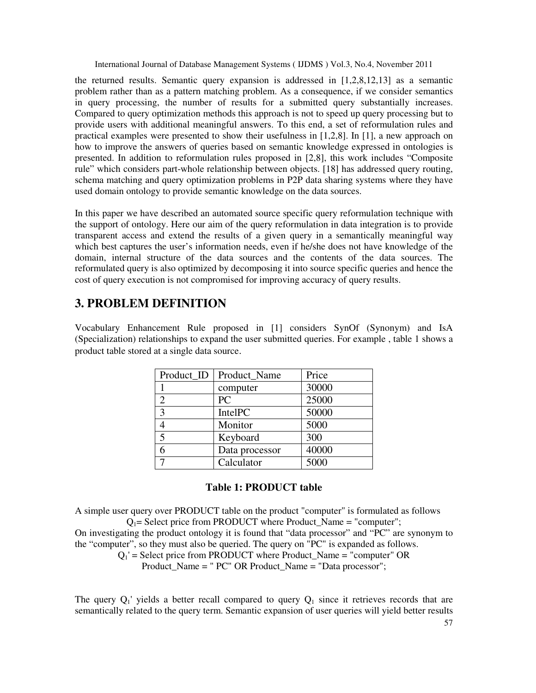the returned results. Semantic query expansion is addressed in [1,2,8,12,13] as a semantic problem rather than as a pattern matching problem. As a consequence, if we consider semantics in query processing, the number of results for a submitted query substantially increases. Compared to query optimization methods this approach is not to speed up query processing but to provide users with additional meaningful answers. To this end, a set of reformulation rules and practical examples were presented to show their usefulness in [1,2,8]. In [1], a new approach on how to improve the answers of queries based on semantic knowledge expressed in ontologies is presented. In addition to reformulation rules proposed in [2,8], this work includes "Composite rule" which considers part-whole relationship between objects. [18] has addressed query routing, schema matching and query optimization problems in P2P data sharing systems where they have used domain ontology to provide semantic knowledge on the data sources.

In this paper we have described an automated source specific query reformulation technique with the support of ontology. Here our aim of the query reformulation in data integration is to provide transparent access and extend the results of a given query in a semantically meaningful way which best captures the user's information needs, even if he/she does not have knowledge of the domain, internal structure of the data sources and the contents of the data sources. The reformulated query is also optimized by decomposing it into source specific queries and hence the cost of query execution is not compromised for improving accuracy of query results.

## **3. PROBLEM DEFINITION**

Vocabulary Enhancement Rule proposed in [1] considers SynOf (Synonym) and IsA (Specialization) relationships to expand the user submitted queries. For example , table 1 shows a product table stored at a single data source.

| Product_ID    | Product_Name   | Price |
|---------------|----------------|-------|
|               | computer       | 30000 |
| $\mathcal{D}$ | PC             | 25000 |
| 3             | IntelPC        | 50000 |
|               | Monitor        | 5000  |
| 5             | Keyboard       | 300   |
|               | Data processor | 40000 |
|               | Calculator     | 5000  |

#### **Table 1: PRODUCT table**

A simple user query over PRODUCT table on the product "computer" is formulated as follows  $Q_1$ = Select price from PRODUCT where Product Name = "computer";

On investigating the product ontology it is found that "data processor" and "PC" are synonym to the "computer", so they must also be queried. The query on "PC" is expanded as follows.

 $Q_1$ ' = Select price from PRODUCT where Product\_Name = "computer" OR

Product\_Name = " PC" OR Product\_Name = "Data processor";

The query  $Q_1$ ' yields a better recall compared to query  $Q_1$  since it retrieves records that are semantically related to the query term. Semantic expansion of user queries will yield better results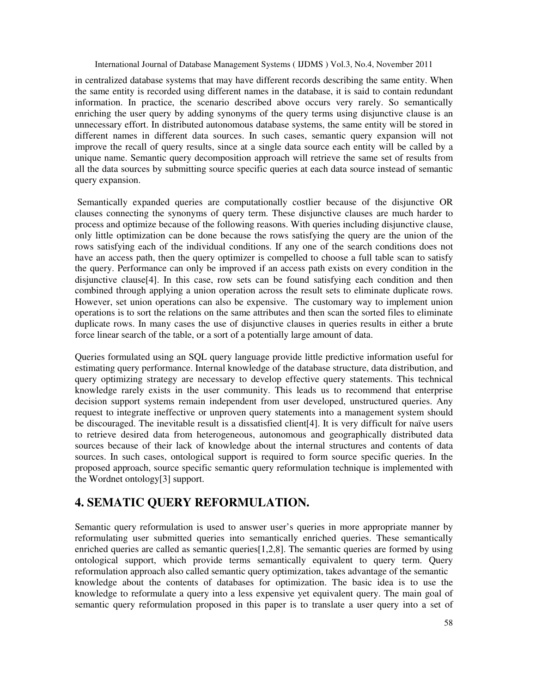in centralized database systems that may have different records describing the same entity. When the same entity is recorded using different names in the database, it is said to contain redundant information. In practice, the scenario described above occurs very rarely. So semantically enriching the user query by adding synonyms of the query terms using disjunctive clause is an unnecessary effort. In distributed autonomous database systems, the same entity will be stored in different names in different data sources. In such cases, semantic query expansion will not improve the recall of query results, since at a single data source each entity will be called by a unique name. Semantic query decomposition approach will retrieve the same set of results from all the data sources by submitting source specific queries at each data source instead of semantic query expansion.

 Semantically expanded queries are computationally costlier because of the disjunctive OR clauses connecting the synonyms of query term. These disjunctive clauses are much harder to process and optimize because of the following reasons. With queries including disjunctive clause, only little optimization can be done because the rows satisfying the query are the union of the rows satisfying each of the individual conditions. If any one of the search conditions does not have an access path, then the query optimizer is compelled to choose a full table scan to satisfy the query. Performance can only be improved if an access path exists on every condition in the disjunctive clause[4]. In this case, row sets can be found satisfying each condition and then combined through applying a union operation across the result sets to eliminate duplicate rows. However, set union operations can also be expensive. The customary way to implement union operations is to sort the relations on the same attributes and then scan the sorted files to eliminate duplicate rows. In many cases the use of disjunctive clauses in queries results in either a brute force linear search of the table, or a sort of a potentially large amount of data.

Queries formulated using an SQL query language provide little predictive information useful for estimating query performance. Internal knowledge of the database structure, data distribution, and query optimizing strategy are necessary to develop effective query statements. This technical knowledge rarely exists in the user community. This leads us to recommend that enterprise decision support systems remain independent from user developed, unstructured queries. Any request to integrate ineffective or unproven query statements into a management system should be discouraged. The inevitable result is a dissatisfied client[4]. It is very difficult for naïve users to retrieve desired data from heterogeneous, autonomous and geographically distributed data sources because of their lack of knowledge about the internal structures and contents of data sources. In such cases, ontological support is required to form source specific queries. In the proposed approach, source specific semantic query reformulation technique is implemented with the Wordnet ontology[3] support.

# **4. SEMATIC QUERY REFORMULATION.**

Semantic query reformulation is used to answer user's queries in more appropriate manner by reformulating user submitted queries into semantically enriched queries. These semantically enriched queries are called as semantic queries [1,2,8]. The semantic queries are formed by using ontological support, which provide terms semantically equivalent to query term. Query reformulation approach also called semantic query optimization, takes advantage of the semantic knowledge about the contents of databases for optimization. The basic idea is to use the knowledge to reformulate a query into a less expensive yet equivalent query. The main goal of semantic query reformulation proposed in this paper is to translate a user query into a set of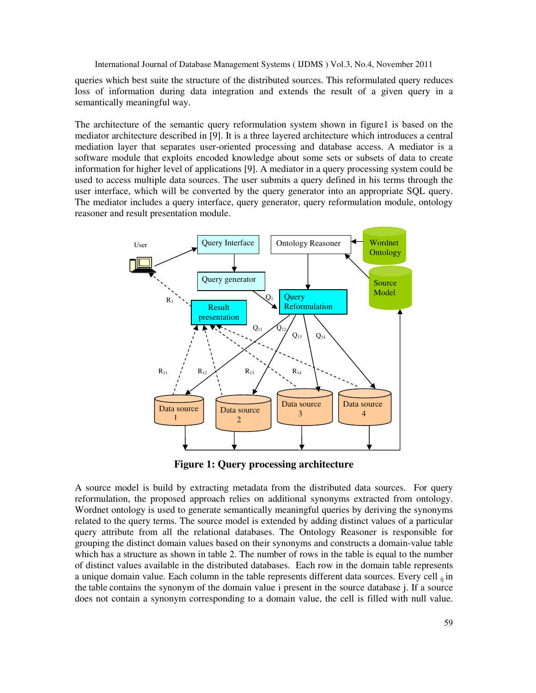queries which best suite the structure of the distributed sources. This reformulated query reduces loss of information during data integration and extends the result of a given query in a semantically meaningful way.

The architecture of the semantic query reformulation system shown in figure1 is based on the mediator architecture described in [9]. It is a three layered architecture which introduces a central mediation layer that separates user-oriented processing and database access. A mediator is a software module that exploits encoded knowledge about some sets or subsets of data to create information for higher level of applications [9]. A mediator in a query processing system could be used to access multiple data sources. The user submits a query defined in his terms through the user interface, which will be converted by the query generator into an appropriate SQL query. The mediator includes a query interface, query generator, query reformulation module, ontology reasoner and result presentation module.



**Figure 1: Query processing architecture** 

A source model is build by extracting metadata from the distributed data sources. For query reformulation, the proposed approach relies on additional synonyms extracted from ontology. Wordnet ontology is used to generate semantically meaningful queries by deriving the synonyms related to the query terms. The source model is extended by adding distinct values of a particular query attribute from all the relational databases. The Ontology Reasoner is responsible for grouping the distinct domain values based on their synonyms and constructs a domain-value table which has a structure as shown in table 2. The number of rows in the table is equal to the number of distinct values available in the distributed databases. Each row in the domain table represents a unique domain value. Each column in the table represents different data sources. Every cell  $_{ii}$  in the table contains the synonym of the domain value i present in the source database j. If a source does not contain a synonym corresponding to a domain value, the cell is filled with null value.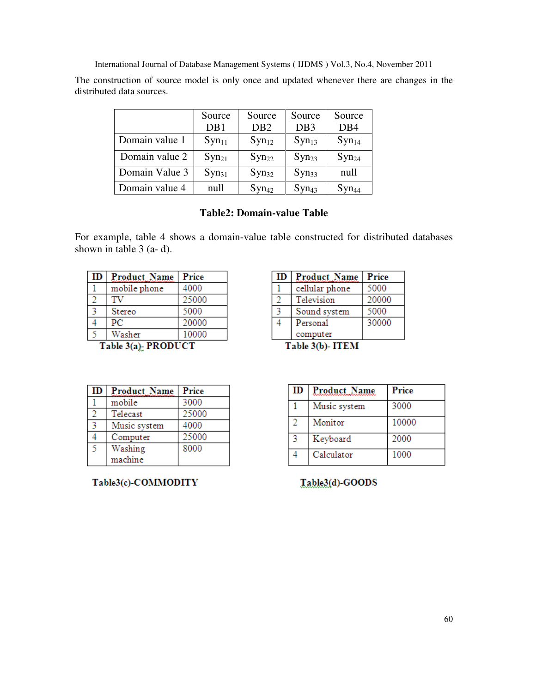The construction of source model is only once and updated whenever there are changes in the distributed data sources.

|                | Source            | Source          | Source            | Source            |
|----------------|-------------------|-----------------|-------------------|-------------------|
|                | DB1               | DB <sub>2</sub> | DB <sub>3</sub>   | DB4               |
| Domain value 1 | $Syn_{11}$        | $Syn_{12}$      | $Syn_{13}$        | Syn <sub>14</sub> |
| Domain value 2 | Syn <sub>21</sub> | $Syn_{22}$      | Syn <sub>23</sub> | Syn <sub>24</sub> |
| Domain Value 3 | $Syn_{31}$        | $Syn_{32}$      | Syn <sub>33</sub> | null              |
| Domain value 4 | null              | $Syn_{42}$      | $Syn_{43}$        | $Syn_{44}$        |

### **Table2: Domain-value Table**

For example, table 4 shows a domain-value table constructed for distributed databases shown in table 3 (a- d).

| ID                        | <b>Product Name</b> | Price |
|---------------------------|---------------------|-------|
|                           | mobile phone        | 4000  |
|                           |                     | 25000 |
|                           | Stereo              | 5000  |
|                           | PС                  | 20000 |
|                           | Washer              | 10000 |
| T.LL 26A<br><u>ווחמסס</u> |                     |       |

 $Table 3(a)$ , PRODUCT

| ID | <b>Product Name</b> | Price |
|----|---------------------|-------|
|    | cellular phone      | 5000  |
| 2  | Television          | 20000 |
| ٩  | Sound system        | 5000  |
|    | Personal            | 30000 |
|    | computer            |       |

Table 3(b)- ITEM

| ID | <b>Product Name</b> | Price |
|----|---------------------|-------|
|    | mobile              | 3000  |
|    | Telecast            | 25000 |
|    | Music system        | 4000  |
|    | Computer            | 25000 |
|    | Washing             | 8000  |
|    | machine             |       |

Table3(c)-COMMODITY

| ID | Product Name | Price |
|----|--------------|-------|
|    | Music system | 3000  |
| 2  | Monitor      | 10000 |
| 2  | Keyboard     | 2000  |
|    | Calculator   | 1000  |

Table3(d)-GOODS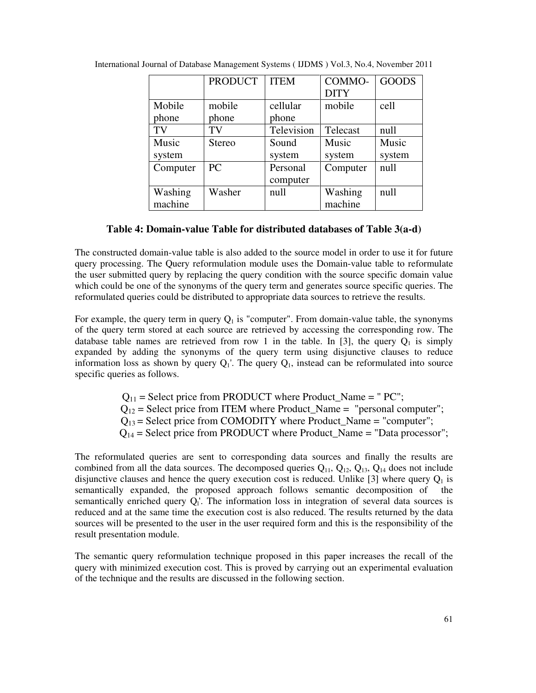|          | <b>PRODUCT</b> | <b>ITEM</b> | COMMO-      | <b>GOODS</b> |
|----------|----------------|-------------|-------------|--------------|
|          |                |             | <b>DITY</b> |              |
| Mobile   | mobile         | cellular    | mobile      | cell         |
| phone    | phone          | phone       |             |              |
| TV       | TV             | Television  | Telecast    | null         |
| Music    | <b>Stereo</b>  | Sound       | Music       | Music        |
| system   |                | system      | system      | system       |
| Computer | <b>PC</b>      | Personal    | Computer    | null         |
|          |                | computer    |             |              |
| Washing  | Washer         | null        | Washing     | null         |
| machine  |                |             | machine     |              |

International Journal of Database Management Systems ( IJDMS ) Vol.3, No.4, November 2011

#### **Table 4: Domain-value Table for distributed databases of Table 3(a-d)**

The constructed domain-value table is also added to the source model in order to use it for future query processing. The Query reformulation module uses the Domain-value table to reformulate the user submitted query by replacing the query condition with the source specific domain value which could be one of the synonyms of the query term and generates source specific queries. The reformulated queries could be distributed to appropriate data sources to retrieve the results.

For example, the query term in query  $Q_1$  is "computer". From domain-value table, the synonyms of the query term stored at each source are retrieved by accessing the corresponding row. The database table names are retrieved from row 1 in the table. In [3], the query  $Q_1$  is simply expanded by adding the synonyms of the query term using disjunctive clauses to reduce information loss as shown by query  $Q_1$ . The query  $Q_1$ , instead can be reformulated into source specific queries as follows.

 $Q_{11}$  = Select price from PRODUCT where Product\_Name = " PC";

 $Q_{12}$  = Select price from ITEM where Product\_Name = "personal computer";

 $Q_{13}$  = Select price from COMODITY where Product\_Name = "computer";

 $Q_{14}$  = Select price from PRODUCT where Product\_Name = "Data processor";

The reformulated queries are sent to corresponding data sources and finally the results are combined from all the data sources. The decomposed queries  $Q_{11}$ ,  $Q_{12}$ ,  $Q_{13}$ ,  $Q_{14}$  does not include disjunctive clauses and hence the query execution cost is reduced. Unlike [3] where query  $Q_1$  is semantically expanded, the proposed approach follows semantic decomposition of the semantically enriched query  $Q_1$ . The information loss in integration of several data sources is reduced and at the same time the execution cost is also reduced. The results returned by the data sources will be presented to the user in the user required form and this is the responsibility of the result presentation module.

The semantic query reformulation technique proposed in this paper increases the recall of the query with minimized execution cost. This is proved by carrying out an experimental evaluation of the technique and the results are discussed in the following section.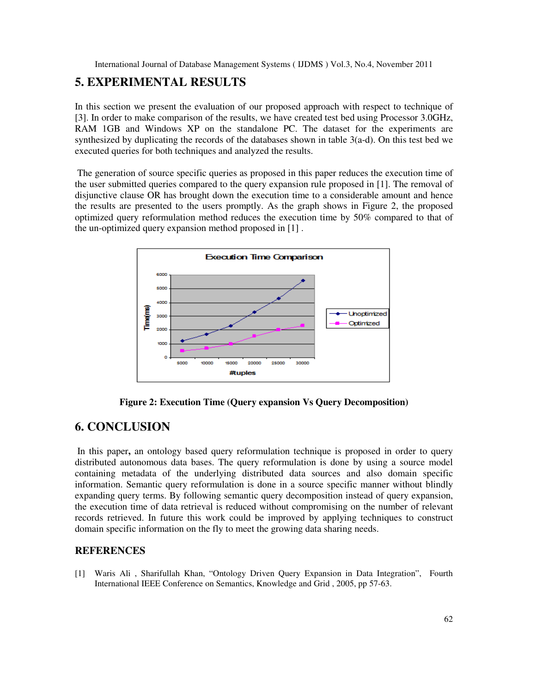### **5. EXPERIMENTAL RESULTS**

In this section we present the evaluation of our proposed approach with respect to technique of [3]. In order to make comparison of the results, we have created test bed using Processor 3.0GHz, RAM 1GB and Windows XP on the standalone PC. The dataset for the experiments are synthesized by duplicating the records of the databases shown in table 3(a-d). On this test bed we executed queries for both techniques and analyzed the results.

The generation of source specific queries as proposed in this paper reduces the execution time of the user submitted queries compared to the query expansion rule proposed in [1]. The removal of disjunctive clause OR has brought down the execution time to a considerable amount and hence the results are presented to the users promptly. As the graph shows in Figure 2, the proposed optimized query reformulation method reduces the execution time by 50% compared to that of the un-optimized query expansion method proposed in [1] .



**Figure 2: Execution Time (Query expansion Vs Query Decomposition)** 

# **6. CONCLUSION**

In this paper**,** an ontology based query reformulation technique is proposed in order to query distributed autonomous data bases. The query reformulation is done by using a source model containing metadata of the underlying distributed data sources and also domain specific information. Semantic query reformulation is done in a source specific manner without blindly expanding query terms. By following semantic query decomposition instead of query expansion, the execution time of data retrieval is reduced without compromising on the number of relevant records retrieved. In future this work could be improved by applying techniques to construct domain specific information on the fly to meet the growing data sharing needs.

### **REFERENCES**

[1] Waris Ali , Sharifullah Khan, "Ontology Driven Query Expansion in Data Integration", Fourth International IEEE Conference on Semantics, Knowledge and Grid , 2005, pp 57-63.